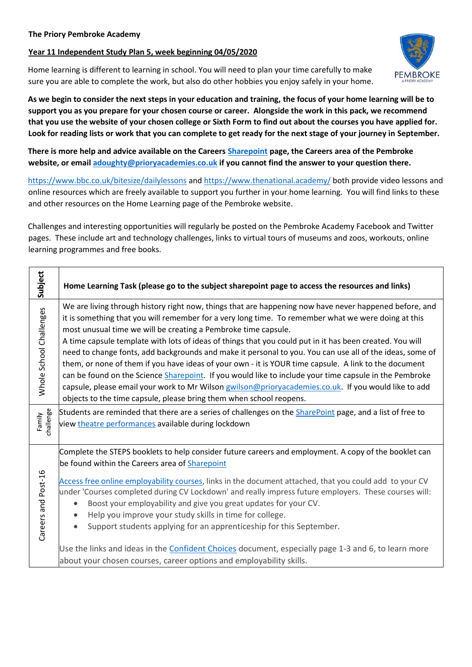## **Year 11 Independent Study Plan 5, week beginning 04/05/2020**

Home learning is different to learning in school. You will need to plan your time carefully to make sure you are able to complete the work, but also do other hobbies you enjoy safely in your home.

**As we begin to consider the next steps in your education and training, the focus of your home learning will be to support you as you prepare for your chosen course or career. Alongside the work in this pack, we recommend that you use the website of your chosen college or Sixth Form to find out about the courses you have applied for. Look for reading lists or work that you can complete to get ready for the next stage of your journey in September.** 

**There is more help and advice available on the Careers [Sharepoint](https://sharepoint.prioryacademies.co.uk/sites/careers/PembStudent/_layouts/15/start.aspx#/) page, the Careers area of the Pembroke website, or email [adoughty@prioryacademies.co.uk](mailto:adoughty@prioryacademies.co.uk) if you cannot find the answer to your question there.**

<https://www.bbc.co.uk/bitesize/dailylessons> and<https://www.thenational.academy/> both provide video lessons and online resources which are freely available to support you further in your home learning. You will find links to these and other resources on the Home Learning page of the Pembroke website.

Challenges and interesting opportunities will regularly be posted on the Pembroke Academy Facebook and Twitter pages. These include art and technology challenges, links to virtual tours of museums and zoos, workouts, online learning programmes and free books.

| Subject                 | Home Learning Task (please go to the subject sharepoint page to access the resources and links)                                                                                                                                                                                                                                                                                                                                                                                                                                                                                                                                                                                                                                                                                                                                                                                                                                                                                                                        |
|-------------------------|------------------------------------------------------------------------------------------------------------------------------------------------------------------------------------------------------------------------------------------------------------------------------------------------------------------------------------------------------------------------------------------------------------------------------------------------------------------------------------------------------------------------------------------------------------------------------------------------------------------------------------------------------------------------------------------------------------------------------------------------------------------------------------------------------------------------------------------------------------------------------------------------------------------------------------------------------------------------------------------------------------------------|
| Whole School Challenges | We are living through history right now, things that are happening now have never happened before, and<br>it is something that you will remember for a very long time. To remember what we were doing at this<br>most unusual time we will be creating a Pembroke time capsule.<br>A time capsule template with lots of ideas of things that you could put in it has been created. You will<br>need to change fonts, add backgrounds and make it personal to you. You can use all of the ideas, some of<br>them, or none of them if you have ideas of your own - it is YOUR time capsule. A link to the document<br>can be found on the Science Sharepoint. If you would like to include your time capsule in the Pembroke<br>capsule, please email your work to Mr Wilson gwilson@prioryacademies.co.uk. If you would like to add<br>objects to the time capsule, please bring them when school reopens.<br>Students are reminded that there are a series of challenges on the SharePoint page, and a list of free to |
| challenge<br>Family     | view theatre performances available during lockdown                                                                                                                                                                                                                                                                                                                                                                                                                                                                                                                                                                                                                                                                                                                                                                                                                                                                                                                                                                    |
| Careers and Post-16     | Complete the STEPS booklets to help consider future careers and employment. A copy of the booklet can<br>be found within the Careers area of Sharepoint<br>Access free online employability courses, links in the document attached, that you could add to your CV<br>under 'Courses completed during CV Lockdown' and really impress future employers. These courses will:<br>Boost your employability and give you great updates for your CV.<br>$\bullet$<br>Help you improve your study skills in time for college.<br>Support students applying for an apprenticeship for this September.<br>$\bullet$<br>Use the links and ideas in the Confident Choices document, especially page 1-3 and 6, to learn more<br>about your chosen courses, career options and employability skills.                                                                                                                                                                                                                              |